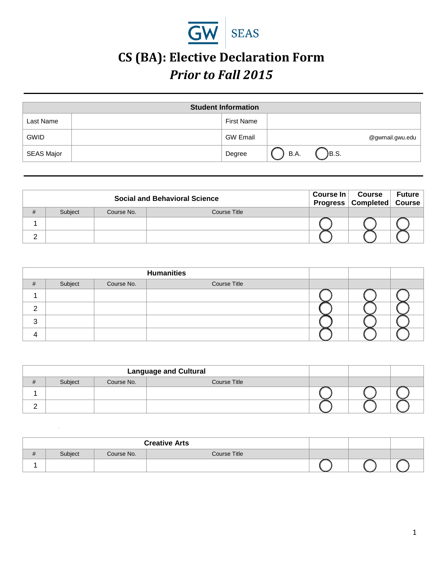

## **CS (BA): Elective Declaration Form**  *Prior to Fall 2015*

|                   | <b>Student Information</b> |                   |      |       |                 |  |
|-------------------|----------------------------|-------------------|------|-------|-----------------|--|
| Last Name         |                            | <b>First Name</b> |      |       |                 |  |
| <b>GWID</b>       |                            | <b>GW Email</b>   |      |       | @gwmail.gwu.edu |  |
| <b>SEAS Major</b> |                            | Degree            | B.A. | JB.S. |                 |  |

|   |         |            | <b>Social and Behavioral Science</b> | Course $\ln  $ | Course<br>Progress Completed Course | <b>Future</b> |
|---|---------|------------|--------------------------------------|----------------|-------------------------------------|---------------|
| # | Subject | Course No. | Course Title                         |                |                                     |               |
|   |         |            |                                      |                |                                     |               |
| ົ |         |            |                                      |                |                                     |               |

|   |         |            | <b>Humanities</b>   |  |  |
|---|---------|------------|---------------------|--|--|
| # | Subject | Course No. | <b>Course Title</b> |  |  |
|   |         |            |                     |  |  |
| ົ |         |            |                     |  |  |
| 3 |         |            |                     |  |  |
| 4 |         |            |                     |  |  |

|                     |         |            | <b>Language and Cultural</b> |  |  |
|---------------------|---------|------------|------------------------------|--|--|
| $^{\rm \texttt{+}}$ | Subject | Course No. | Course Title                 |  |  |
|                     |         |            |                              |  |  |
|                     |         |            |                              |  |  |

|   |         |            | <b>Creative Arts</b> |  |  |
|---|---------|------------|----------------------|--|--|
| # | Subject | Course No. | Course Title         |  |  |
|   |         |            |                      |  |  |

*.*